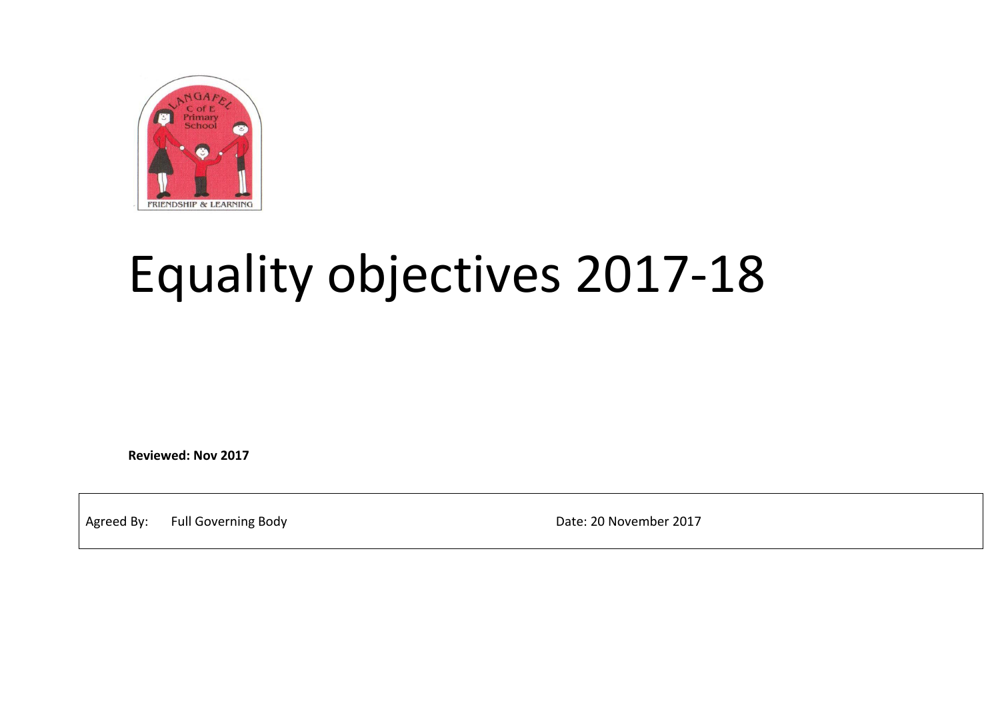

## Equality objectives 2017-18

**Reviewed: Nov 2017**

Agreed By: Full Governing Body Contract Contract Contract Contract Contract Date: 20 November 2017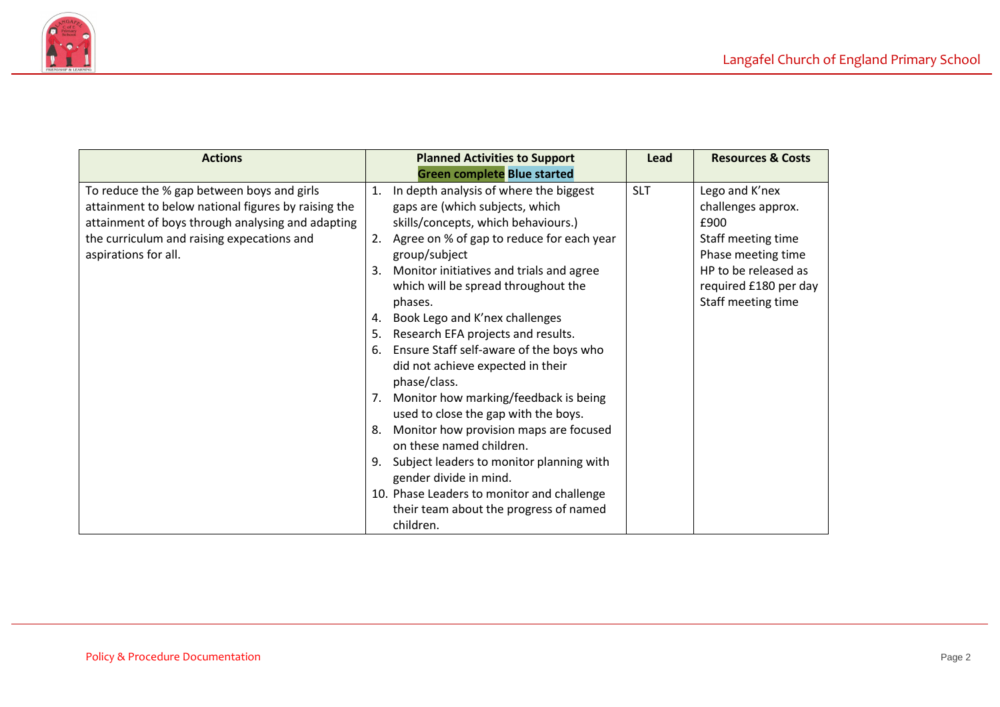

| <b>Actions</b>                                                                                                                                                                                                               | <b>Planned Activities to Support</b><br><b>Green complete Blue started</b>                                                                                                                                                                                                                                                                                                                                                                                                                                                                                                                                                                                                                                                                                                                                                                         | Lead       | <b>Resources &amp; Costs</b>                                                                                                                                    |
|------------------------------------------------------------------------------------------------------------------------------------------------------------------------------------------------------------------------------|----------------------------------------------------------------------------------------------------------------------------------------------------------------------------------------------------------------------------------------------------------------------------------------------------------------------------------------------------------------------------------------------------------------------------------------------------------------------------------------------------------------------------------------------------------------------------------------------------------------------------------------------------------------------------------------------------------------------------------------------------------------------------------------------------------------------------------------------------|------------|-----------------------------------------------------------------------------------------------------------------------------------------------------------------|
| To reduce the % gap between boys and girls<br>attainment to below national figures by raising the<br>attainment of boys through analysing and adapting<br>the curriculum and raising expecations and<br>aspirations for all. | In depth analysis of where the biggest<br>$\mathbf{1}$ .<br>gaps are (which subjects, which<br>skills/concepts, which behaviours.)<br>2. Agree on % of gap to reduce for each year<br>group/subject<br>Monitor initiatives and trials and agree<br>3.<br>which will be spread throughout the<br>phases.<br>Book Lego and K'nex challenges<br>4.<br>Research EFA projects and results.<br>5.<br>Ensure Staff self-aware of the boys who<br>6.<br>did not achieve expected in their<br>phase/class.<br>7. Monitor how marking/feedback is being<br>used to close the gap with the boys.<br>Monitor how provision maps are focused<br>8.<br>on these named children.<br>Subject leaders to monitor planning with<br>9.<br>gender divide in mind.<br>10. Phase Leaders to monitor and challenge<br>their team about the progress of named<br>children. | <b>SLT</b> | Lego and K'nex<br>challenges approx.<br>£900<br>Staff meeting time<br>Phase meeting time<br>HP to be released as<br>required £180 per day<br>Staff meeting time |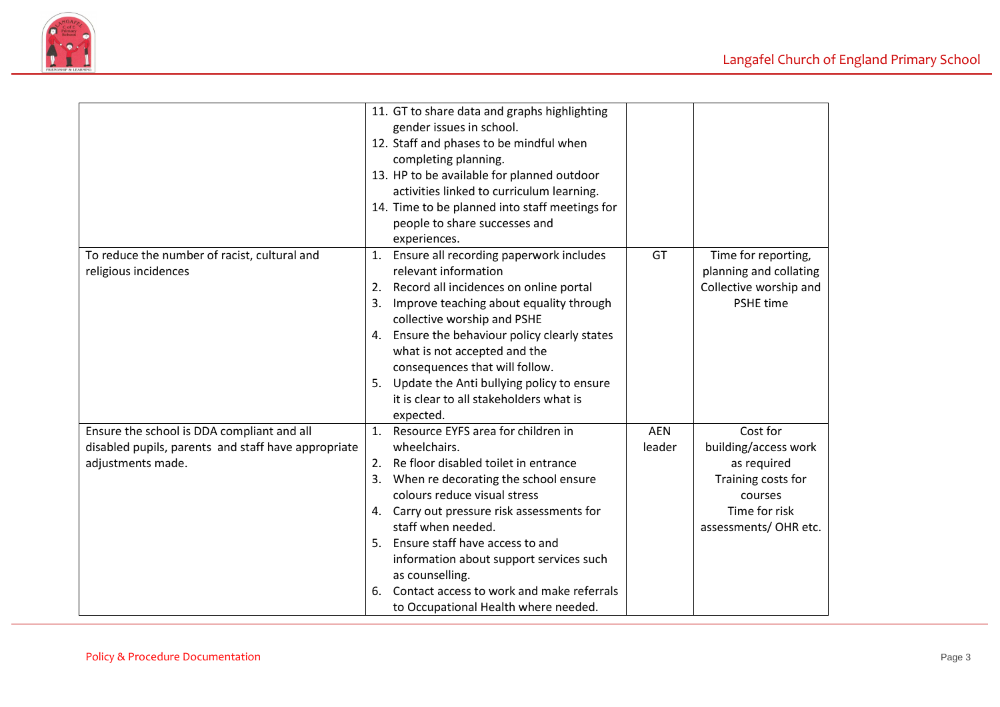

|                                                     |    | 11. GT to share data and graphs highlighting   |            |                        |
|-----------------------------------------------------|----|------------------------------------------------|------------|------------------------|
|                                                     |    | gender issues in school.                       |            |                        |
|                                                     |    | 12. Staff and phases to be mindful when        |            |                        |
|                                                     |    | completing planning.                           |            |                        |
|                                                     |    | 13. HP to be available for planned outdoor     |            |                        |
|                                                     |    | activities linked to curriculum learning.      |            |                        |
|                                                     |    | 14. Time to be planned into staff meetings for |            |                        |
|                                                     |    | people to share successes and                  |            |                        |
|                                                     |    | experiences.                                   |            |                        |
| To reduce the number of racist, cultural and        |    | 1. Ensure all recording paperwork includes     | GT         | Time for reporting,    |
| religious incidences                                |    | relevant information                           |            | planning and collating |
|                                                     |    | 2. Record all incidences on online portal      |            | Collective worship and |
|                                                     | 3. | Improve teaching about equality through        |            | <b>PSHE time</b>       |
|                                                     |    | collective worship and PSHE                    |            |                        |
|                                                     | 4. | Ensure the behaviour policy clearly states     |            |                        |
|                                                     |    | what is not accepted and the                   |            |                        |
|                                                     |    | consequences that will follow.                 |            |                        |
|                                                     | 5. | Update the Anti bullying policy to ensure      |            |                        |
|                                                     |    | it is clear to all stakeholders what is        |            |                        |
|                                                     |    | expected.                                      |            |                        |
| Ensure the school is DDA compliant and all          |    | 1. Resource EYFS area for children in          | <b>AEN</b> | Cost for               |
| disabled pupils, parents and staff have appropriate |    | wheelchairs.                                   | leader     | building/access work   |
| adjustments made.                                   |    | 2. Re floor disabled toilet in entrance        |            | as required            |
|                                                     | 3. | When re decorating the school ensure           |            | Training costs for     |
|                                                     |    | colours reduce visual stress                   |            | courses                |
|                                                     |    | 4. Carry out pressure risk assessments for     |            | Time for risk          |
|                                                     |    | staff when needed.                             |            | assessments/OHR etc.   |
|                                                     |    | 5. Ensure staff have access to and             |            |                        |
|                                                     |    | information about support services such        |            |                        |
|                                                     |    | as counselling.                                |            |                        |
|                                                     | 6. | Contact access to work and make referrals      |            |                        |
|                                                     |    | to Occupational Health where needed.           |            |                        |